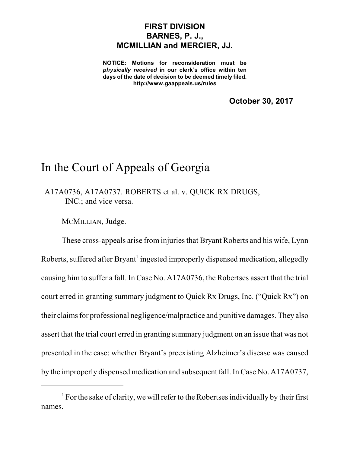## **FIRST DIVISION BARNES, P. J., MCMILLIAN and MERCIER, JJ.**

**NOTICE: Motions for reconsideration must be** *physically received* **in our clerk's office within ten days of the date of decision to be deemed timely filed. http://www.gaappeals.us/rules**

**October 30, 2017**

## In the Court of Appeals of Georgia

A17A0736, A17A0737. ROBERTS et al. v. QUICK RX DRUGS, INC.; and vice versa.

MCMILLIAN, Judge.

These cross-appeals arise from injuries that Bryant Roberts and his wife, Lynn Roberts, suffered after Bryant<sup>1</sup> ingested improperly dispensed medication, allegedly causing him to suffer a fall. In Case No. A17A0736, the Robertses assert that the trial court erred in granting summary judgment to Quick Rx Drugs, Inc. ("Quick Rx") on their claims for professional negligence/malpractice and punitive damages. They also assert that the trial court erred in granting summary judgment on an issue that was not presented in the case: whether Bryant's preexisting Alzheimer's disease was caused by the improperly dispensed medication and subsequent fall. In Case No. A17A0737,

 $1$  For the sake of clarity, we will refer to the Robertses individually by their first names.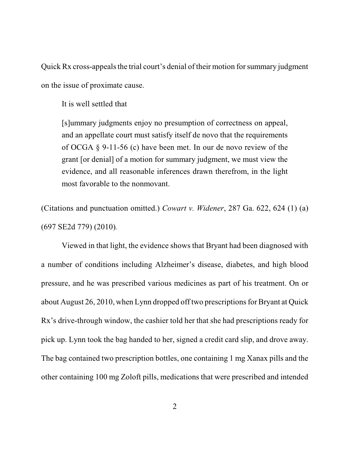Quick Rx cross-appeals the trial court's denial of their motion for summary judgment on the issue of proximate cause.

It is well settled that

[s]ummary judgments enjoy no presumption of correctness on appeal, and an appellate court must satisfy itself de novo that the requirements of OCGA § 9-11-56 (c) have been met. In our de novo review of the grant [or denial] of a motion for summary judgment, we must view the evidence, and all reasonable inferences drawn therefrom, in the light most favorable to the nonmovant.

(Citations and punctuation omitted.) *Cowart v. Widener*, 287 Ga. 622, 624 (1) (a) (697 SE2d 779) (2010)*.*

Viewed in that light, the evidence shows that Bryant had been diagnosed with a number of conditions including Alzheimer's disease, diabetes, and high blood pressure, and he was prescribed various medicines as part of his treatment. On or about August 26, 2010, when Lynn dropped off two prescriptions for Bryant at Quick Rx's drive-through window, the cashier told her that she had prescriptions ready for pick up. Lynn took the bag handed to her, signed a credit card slip, and drove away. The bag contained two prescription bottles, one containing 1 mg Xanax pills and the other containing 100 mg Zoloft pills, medications that were prescribed and intended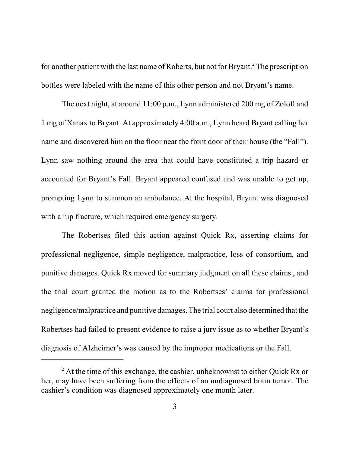for another patient with the last name of Roberts, but not for Bryant. <sup>2</sup> The prescription bottles were labeled with the name of this other person and not Bryant's name.

The next night, at around 11:00 p.m., Lynn administered 200 mg of Zoloft and 1 mg of Xanax to Bryant. At approximately 4:00 a.m., Lynn heard Bryant calling her name and discovered him on the floor near the front door of their house (the "Fall"). Lynn saw nothing around the area that could have constituted a trip hazard or accounted for Bryant's Fall. Bryant appeared confused and was unable to get up, prompting Lynn to summon an ambulance. At the hospital, Bryant was diagnosed with a hip fracture, which required emergency surgery.

The Robertses filed this action against Quick Rx, asserting claims for professional negligence, simple negligence, malpractice, loss of consortium, and punitive damages. Quick Rx moved for summary judgment on all these claims , and the trial court granted the motion as to the Robertses' claims for professional negligence/malpractice and punitive damages.The trial court also determined that the Robertses had failed to present evidence to raise a jury issue as to whether Bryant's diagnosis of Alzheimer's was caused by the improper medications or the Fall.

 $2^2$  At the time of this exchange, the cashier, unbeknownst to either Quick Rx or her, may have been suffering from the effects of an undiagnosed brain tumor. The cashier's condition was diagnosed approximately one month later.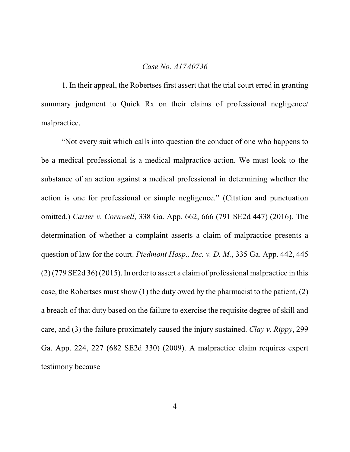## *Case No. A17A0736*

1. In their appeal, the Robertses first assert that the trial court erred in granting summary judgment to Quick Rx on their claims of professional negligence/ malpractice.

"Not every suit which calls into question the conduct of one who happens to be a medical professional is a medical malpractice action. We must look to the substance of an action against a medical professional in determining whether the action is one for professional or simple negligence." (Citation and punctuation omitted.) *Carter v. Cornwell*, 338 Ga. App. 662, 666 (791 SE2d 447) (2016). The determination of whether a complaint asserts a claim of malpractice presents a question of law for the court. *Piedmont Hosp., Inc. v. D. M.*, 335 Ga. App. 442, 445 (2) (779 SE2d 36) (2015). In order to assert a claimof professional malpractice in this case, the Robertses must show (1) the duty owed by the pharmacist to the patient, (2) a breach of that duty based on the failure to exercise the requisite degree of skill and care, and (3) the failure proximately caused the injury sustained. *Clay v. Rippy*, 299 Ga. App. 224, 227 (682 SE2d 330) (2009). A malpractice claim requires expert testimony because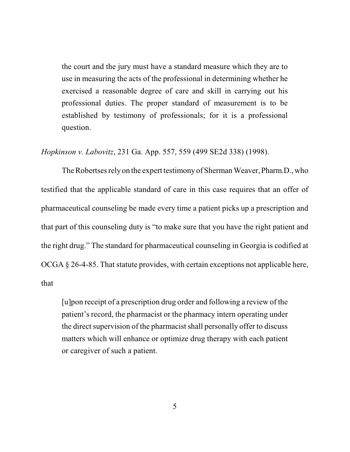the court and the jury must have a standard measure which they are to use in measuring the acts of the professional in determining whether he exercised a reasonable degree of care and skill in carrying out his professional duties. The proper standard of measurement is to be established by testimony of professionals; for it is a professional question.

*Hopkinson v. Labovitz*, 231 Ga. App. 557, 559 (499 SE2d 338) (1998).

The Robertses rely on the expert testimony of Sherman Weaver, Pharm.D., who testified that the applicable standard of care in this case requires that an offer of pharmaceutical counseling be made every time a patient picks up a prescription and that part of this counseling duty is "to make sure that you have the right patient and the right drug." The standard for pharmaceutical counseling in Georgia is codified at OCGA § 26-4-85. That statute provides, with certain exceptions not applicable here, that

[u]pon receipt of a prescription drug order and following a review of the patient's record, the pharmacist or the pharmacy intern operating under the direct supervision of the pharmacist shall personally offer to discuss matters which will enhance or optimize drug therapy with each patient or caregiver of such a patient.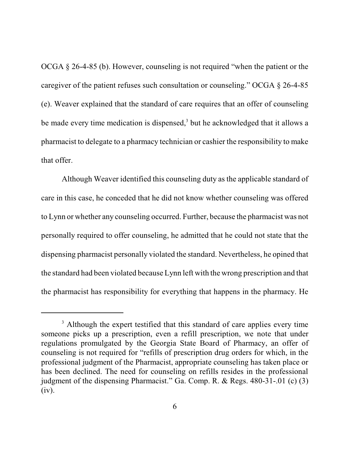OCGA § 26-4-85 (b). However, counseling is not required "when the patient or the caregiver of the patient refuses such consultation or counseling." OCGA § 26-4-85 (e). Weaver explained that the standard of care requires that an offer of counseling be made every time medication is dispensed,<sup>3</sup> but he acknowledged that it allows a pharmacist to delegate to a pharmacy technician or cashier the responsibility to make that offer.

Although Weaver identified this counseling duty as the applicable standard of care in this case, he conceded that he did not know whether counseling was offered to Lynn or whether any counseling occurred. Further, because the pharmacist was not personally required to offer counseling, he admitted that he could not state that the dispensing pharmacist personally violated the standard. Nevertheless, he opined that the standard had been violated because Lynn left with the wrong prescription and that the pharmacist has responsibility for everything that happens in the pharmacy. He

<sup>&</sup>lt;sup>3</sup> Although the expert testified that this standard of care applies every time someone picks up a prescription, even a refill prescription, we note that under regulations promulgated by the Georgia State Board of Pharmacy, an offer of counseling is not required for "refills of prescription drug orders for which, in the professional judgment of the Pharmacist, appropriate counseling has taken place or has been declined. The need for counseling on refills resides in the professional judgment of the dispensing Pharmacist." Ga. Comp. R. & Regs. 480-31-.01 (c) (3) (iv).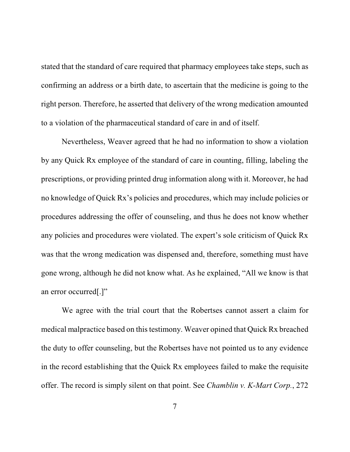stated that the standard of care required that pharmacy employees take steps, such as confirming an address or a birth date, to ascertain that the medicine is going to the right person. Therefore, he asserted that delivery of the wrong medication amounted to a violation of the pharmaceutical standard of care in and of itself.

Nevertheless, Weaver agreed that he had no information to show a violation by any Quick Rx employee of the standard of care in counting, filling, labeling the prescriptions, or providing printed drug information along with it. Moreover, he had no knowledge of Quick Rx's policies and procedures, which may include policies or procedures addressing the offer of counseling, and thus he does not know whether any policies and procedures were violated. The expert's sole criticism of Quick Rx was that the wrong medication was dispensed and, therefore, something must have gone wrong, although he did not know what. As he explained, "All we know is that an error occurred[.]"

We agree with the trial court that the Robertses cannot assert a claim for medical malpractice based on this testimony. Weaver opined that Quick Rx breached the duty to offer counseling, but the Robertses have not pointed us to any evidence in the record establishing that the Quick Rx employees failed to make the requisite offer. The record is simply silent on that point. See *Chamblin v. K-Mart Corp.*, 272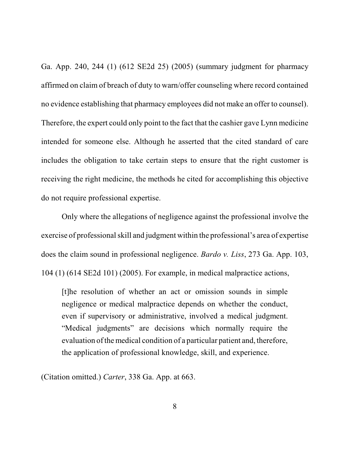Ga. App. 240, 244 (1) (612 SE2d 25) (2005) (summary judgment for pharmacy affirmed on claim of breach of duty to warn/offer counseling where record contained no evidence establishing that pharmacy employees did not make an offer to counsel). Therefore, the expert could only point to the fact that the cashier gave Lynn medicine intended for someone else. Although he asserted that the cited standard of care includes the obligation to take certain steps to ensure that the right customer is receiving the right medicine, the methods he cited for accomplishing this objective do not require professional expertise.

Only where the allegations of negligence against the professional involve the exercise of professional skill and judgment within the professional's area of expertise does the claim sound in professional negligence. *Bardo v. Liss*, 273 Ga. App. 103, 104 (1) (614 SE2d 101) (2005). For example, in medical malpractice actions,

[t]he resolution of whether an act or omission sounds in simple negligence or medical malpractice depends on whether the conduct, even if supervisory or administrative, involved a medical judgment. "Medical judgments" are decisions which normally require the evaluation of the medical condition of a particular patient and, therefore, the application of professional knowledge, skill, and experience.

(Citation omitted.) *Carter*, 338 Ga. App. at 663.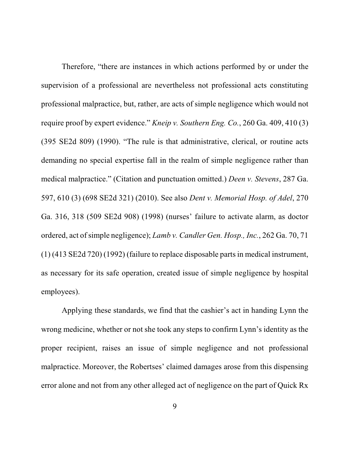Therefore, "there are instances in which actions performed by or under the supervision of a professional are nevertheless not professional acts constituting professional malpractice, but, rather, are acts of simple negligence which would not require proof by expert evidence." *Kneip v. Southern Eng. Co.*, 260 Ga. 409, 410 (3) (395 SE2d 809) (1990). "The rule is that administrative, clerical, or routine acts demanding no special expertise fall in the realm of simple negligence rather than medical malpractice." (Citation and punctuation omitted.) *Deen v. Stevens*, 287 Ga. 597, 610 (3) (698 SE2d 321) (2010). See also *Dent v. Memorial Hosp. of Adel*, 270 Ga. 316, 318 (509 SE2d 908) (1998) (nurses' failure to activate alarm, as doctor ordered, act of simple negligence); *Lamb v. Candler Gen. Hosp., Inc.*, 262 Ga. 70, 71 (1) (413 SE2d 720) (1992) (failure to replace disposable parts in medical instrument, as necessary for its safe operation, created issue of simple negligence by hospital employees).

Applying these standards, we find that the cashier's act in handing Lynn the wrong medicine, whether or not she took any steps to confirm Lynn's identity as the proper recipient, raises an issue of simple negligence and not professional malpractice. Moreover, the Robertses' claimed damages arose from this dispensing error alone and not from any other alleged act of negligence on the part of Quick Rx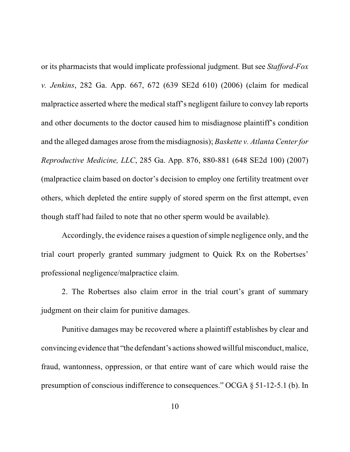or its pharmacists that would implicate professional judgment. But see *Stafford-Fox v. Jenkins*, 282 Ga. App. 667, 672 (639 SE2d 610) (2006) (claim for medical malpractice asserted where the medical staff's negligent failure to convey lab reports and other documents to the doctor caused him to misdiagnose plaintiff's condition and the alleged damages arose from the misdiagnosis); *Baskette v. Atlanta Centerfor Reproductive Medicine, LLC*, 285 Ga. App. 876, 880-881 (648 SE2d 100) (2007) (malpractice claim based on doctor's decision to employ one fertility treatment over others, which depleted the entire supply of stored sperm on the first attempt, even though staff had failed to note that no other sperm would be available).

Accordingly, the evidence raises a question of simple negligence only, and the trial court properly granted summary judgment to Quick Rx on the Robertses' professional negligence/malpractice claim.

2. The Robertses also claim error in the trial court's grant of summary judgment on their claim for punitive damages.

Punitive damages may be recovered where a plaintiff establishes by clear and convincing evidence that "the defendant's actions showed will fulmisconduct, malice, fraud, wantonness, oppression, or that entire want of care which would raise the presumption of conscious indifference to consequences." OCGA § 51-12-5.1 (b). In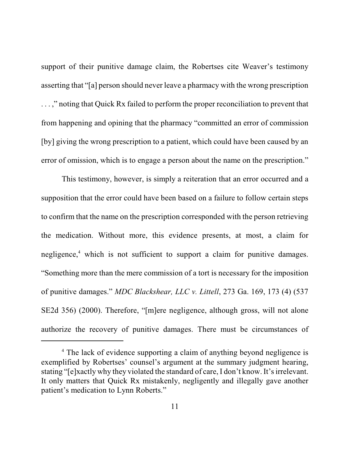support of their punitive damage claim, the Robertses cite Weaver's testimony asserting that "[a] person should never leave a pharmacy with the wrong prescription . . . ," noting that Quick Rx failed to perform the proper reconciliation to prevent that from happening and opining that the pharmacy "committed an error of commission [by] giving the wrong prescription to a patient, which could have been caused by an error of omission, which is to engage a person about the name on the prescription."

This testimony, however, is simply a reiteration that an error occurred and a supposition that the error could have been based on a failure to follow certain steps to confirm that the name on the prescription corresponded with the person retrieving the medication. Without more, this evidence presents, at most, a claim for negligence,<sup>4</sup> which is not sufficient to support a claim for punitive damages. "Something more than the mere commission of a tort is necessary for the imposition of punitive damages." *MDC Blackshear, LLC v. Littell*, 273 Ga. 169, 173 (4) (537 SE2d 356) (2000). Therefore, "[m]ere negligence, although gross, will not alone authorize the recovery of punitive damages. There must be circumstances of

<sup>&</sup>lt;sup>4</sup> The lack of evidence supporting a claim of anything beyond negligence is exemplified by Robertses' counsel's argument at the summary judgment hearing, stating "[e]xactly why they violated the standard of care, I don't know. It's irrelevant. It only matters that Quick Rx mistakenly, negligently and illegally gave another patient's medication to Lynn Roberts."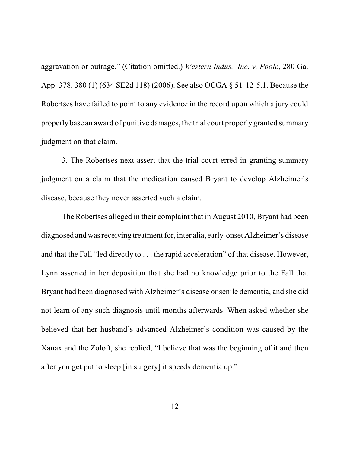aggravation or outrage." (Citation omitted.) *Western Indus., Inc. v. Poole*, 280 Ga. App. 378, 380 (1) (634 SE2d 118) (2006). See also OCGA § 51-12-5.1. Because the Robertses have failed to point to any evidence in the record upon which a jury could properly base an award of punitive damages, the trial court properly granted summary judgment on that claim.

3. The Robertses next assert that the trial court erred in granting summary judgment on a claim that the medication caused Bryant to develop Alzheimer's disease, because they never asserted such a claim.

The Robertses alleged in their complaint that in August 2010, Bryant had been diagnosed and was receiving treatment for, inter alia, early-onset Alzheimer's disease and that the Fall "led directly to . . . the rapid acceleration" of that disease. However, Lynn asserted in her deposition that she had no knowledge prior to the Fall that Bryant had been diagnosed with Alzheimer's disease or senile dementia, and she did not learn of any such diagnosis until months afterwards. When asked whether she believed that her husband's advanced Alzheimer's condition was caused by the Xanax and the Zoloft, she replied, "I believe that was the beginning of it and then after you get put to sleep [in surgery] it speeds dementia up."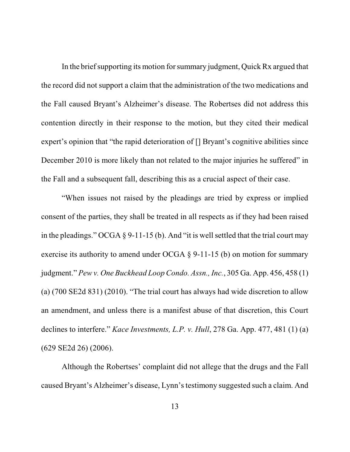In the brief supporting its motion for summary judgment, Quick Rx argued that the record did not support a claim that the administration of the two medications and the Fall caused Bryant's Alzheimer's disease. The Robertses did not address this contention directly in their response to the motion, but they cited their medical expert's opinion that "the rapid deterioration of [] Bryant's cognitive abilities since December 2010 is more likely than not related to the major injuries he suffered" in the Fall and a subsequent fall, describing this as a crucial aspect of their case.

"When issues not raised by the pleadings are tried by express or implied consent of the parties, they shall be treated in all respects as if they had been raised in the pleadings." OCGA  $\S$  9-11-15 (b). And "it is well settled that the trial court may exercise its authority to amend under OCGA § 9-11-15 (b) on motion for summary judgment." *Pew v. One Buckhead Loop Condo. Assn., Inc.*, 305 Ga. App. 456, 458 (1) (a) (700 SE2d 831) (2010). "The trial court has always had wide discretion to allow an amendment, and unless there is a manifest abuse of that discretion, this Court declines to interfere." *Kace Investments, L.P. v. Hull*, 278 Ga. App. 477, 481 (1) (a) (629 SE2d 26) (2006).

Although the Robertses' complaint did not allege that the drugs and the Fall caused Bryant's Alzheimer's disease, Lynn's testimony suggested such a claim. And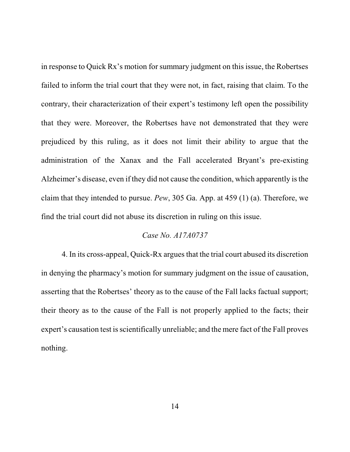in response to Quick Rx's motion for summary judgment on this issue, the Robertses failed to inform the trial court that they were not, in fact, raising that claim. To the contrary, their characterization of their expert's testimony left open the possibility that they were. Moreover, the Robertses have not demonstrated that they were prejudiced by this ruling, as it does not limit their ability to argue that the administration of the Xanax and the Fall accelerated Bryant's pre-existing Alzheimer's disease, even if they did not cause the condition, which apparently isthe claim that they intended to pursue. *Pew*, 305 Ga. App. at 459 (1) (a). Therefore, we find the trial court did not abuse its discretion in ruling on this issue.

## *Case No. A17A0737*

4. In its cross-appeal, Quick-Rx arguesthat the trial court abused its discretion in denying the pharmacy's motion for summary judgment on the issue of causation, asserting that the Robertses' theory as to the cause of the Fall lacks factual support; their theory as to the cause of the Fall is not properly applied to the facts; their expert's causation test is scientifically unreliable; and the mere fact of the Fall proves nothing.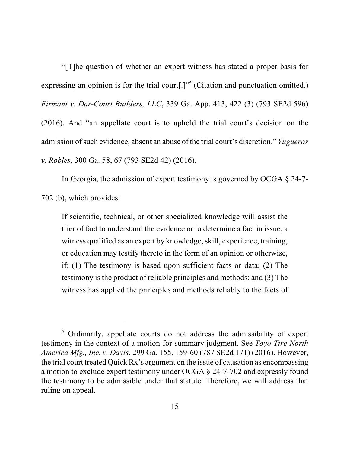"[T]he question of whether an expert witness has stated a proper basis for expressing an opinion is for the trial court[.]"<sup>5</sup> (Citation and punctuation omitted.) *Firmani v. Dar-Court Builders, LLC*, 339 Ga. App. 413, 422 (3) (793 SE2d 596) (2016). And "an appellate court is to uphold the trial court's decision on the admission of such evidence, absent an abuse of the trial court's discretion." *Yugueros v. Robles*, 300 Ga. 58, 67 (793 SE2d 42) (2016).

In Georgia, the admission of expert testimony is governed by OCGA § 24-7- 702 (b), which provides:

If scientific, technical, or other specialized knowledge will assist the trier of fact to understand the evidence or to determine a fact in issue, a witness qualified as an expert by knowledge, skill, experience, training, or education may testify thereto in the form of an opinion or otherwise, if: (1) The testimony is based upon sufficient facts or data; (2) The testimony is the product of reliable principles and methods; and (3) The witness has applied the principles and methods reliably to the facts of

<sup>&</sup>lt;sup>5</sup> Ordinarily, appellate courts do not address the admissibility of expert testimony in the context of a motion for summary judgment. See *Toyo Tire North America Mfg., Inc. v. Davis*, 299 Ga. 155, 159-60 (787 SE2d 171) (2016). However, the trial court treated Quick Rx's argument on the issue of causation as encompassing a motion to exclude expert testimony under OCGA § 24-7-702 and expressly found the testimony to be admissible under that statute. Therefore, we will address that ruling on appeal.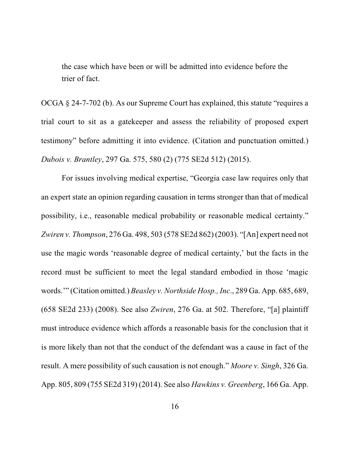the case which have been or will be admitted into evidence before the trier of fact.

OCGA § 24-7-702 (b). As our Supreme Court has explained, this statute "requires a trial court to sit as a gatekeeper and assess the reliability of proposed expert testimony" before admitting it into evidence. (Citation and punctuation omitted.) *Dubois v. Brantley*, 297 Ga. 575, 580 (2) (775 SE2d 512) (2015).

For issues involving medical expertise, "Georgia case law requires only that an expert state an opinion regarding causation in terms stronger than that of medical possibility, i.e., reasonable medical probability or reasonable medical certainty." *Zwiren v. Thompson*, 276 Ga. 498, 503 (578 SE2d 862) (2003). "[An] expert need not use the magic words 'reasonable degree of medical certainty,' but the facts in the record must be sufficient to meet the legal standard embodied in those 'magic words.'" (Citation omitted.) *Beasley v. Northside Hosp., Inc*., 289 Ga. App. 685, 689, (658 SE2d 233) (2008). See also *Zwiren*, 276 Ga. at 502. Therefore, "[a] plaintiff must introduce evidence which affords a reasonable basis for the conclusion that it is more likely than not that the conduct of the defendant was a cause in fact of the result. A mere possibility of such causation is not enough." *Moore v. Singh*, 326 Ga. App. 805, 809 (755 SE2d 319) (2014). See also *Hawkins v. Greenberg*, 166 Ga. App.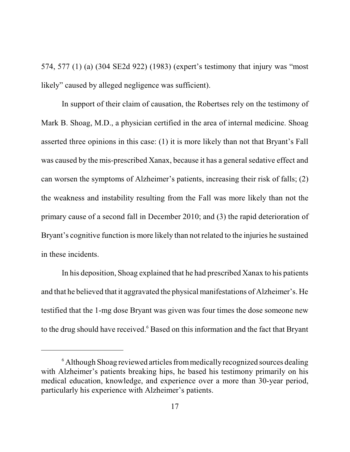574, 577 (1) (a) (304 SE2d 922) (1983) (expert's testimony that injury was "most likely" caused by alleged negligence was sufficient).

In support of their claim of causation, the Robertses rely on the testimony of Mark B. Shoag, M.D., a physician certified in the area of internal medicine. Shoag asserted three opinions in this case: (1) it is more likely than not that Bryant's Fall was caused by the mis-prescribed Xanax, because it has a general sedative effect and can worsen the symptoms of Alzheimer's patients, increasing their risk of falls; (2) the weakness and instability resulting from the Fall was more likely than not the primary cause of a second fall in December 2010; and (3) the rapid deterioration of Bryant's cognitive function is more likely than not related to the injuries he sustained in these incidents.

In his deposition, Shoag explained that he had prescribed Xanax to his patients and that he believed that it aggravated the physical manifestations of Alzheimer's. He testified that the 1-mg dose Bryant was given was four times the dose someone new to the drug should have received.<sup>6</sup> Based on this information and the fact that Bryant

 $6$  Although Shoag reviewed articles from medically recognized sources dealing with Alzheimer's patients breaking hips, he based his testimony primarily on his medical education, knowledge, and experience over a more than 30-year period, particularly his experience with Alzheimer's patients.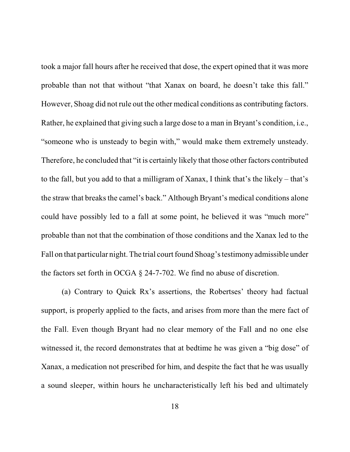took a major fall hours after he received that dose, the expert opined that it was more probable than not that without "that Xanax on board, he doesn't take this fall." However, Shoag did not rule out the other medical conditions as contributing factors. Rather, he explained that giving such a large dose to a man in Bryant's condition, i.e., "someone who is unsteady to begin with," would make them extremely unsteady. Therefore, he concluded that "it is certainly likely that those other factors contributed to the fall, but you add to that a milligram of Xanax, I think that's the likely – that's the straw that breaks the camel's back." Although Bryant's medical conditions alone could have possibly led to a fall at some point, he believed it was "much more" probable than not that the combination of those conditions and the Xanax led to the Fall on that particular night. The trial court found Shoag's testimony admissible under the factors set forth in OCGA § 24-7-702. We find no abuse of discretion.

(a) Contrary to Quick Rx's assertions, the Robertses' theory had factual support, is properly applied to the facts, and arises from more than the mere fact of the Fall. Even though Bryant had no clear memory of the Fall and no one else witnessed it, the record demonstrates that at bedtime he was given a "big dose" of Xanax, a medication not prescribed for him, and despite the fact that he was usually a sound sleeper, within hours he uncharacteristically left his bed and ultimately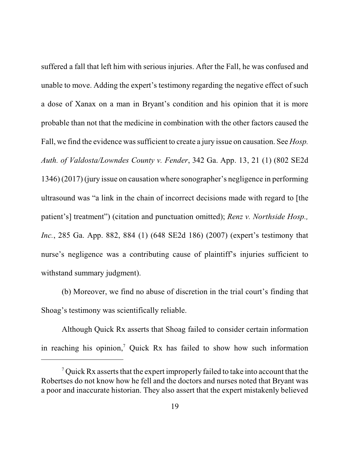suffered a fall that left him with serious injuries. After the Fall, he was confused and unable to move. Adding the expert's testimony regarding the negative effect of such a dose of Xanax on a man in Bryant's condition and his opinion that it is more probable than not that the medicine in combination with the other factors caused the Fall, we find the evidence wassufficient to create a jury issue on causation. See *Hosp. Auth. of Valdosta/Lowndes County v. Fender*, 342 Ga. App. 13, 21 (1) (802 SE2d 1346) (2017) (jury issue on causation where sonographer's negligence in performing ultrasound was "a link in the chain of incorrect decisions made with regard to [the patient's] treatment") (citation and punctuation omitted); *Renz v. Northside Hosp., Inc.*, 285 Ga. App. 882, 884 (1) (648 SE2d 186) (2007) (expert's testimony that nurse's negligence was a contributing cause of plaintiff's injuries sufficient to withstand summary judgment).

(b) Moreover, we find no abuse of discretion in the trial court's finding that Shoag's testimony was scientifically reliable.

Although Quick Rx asserts that Shoag failed to consider certain information in reaching his opinion, <sup>7</sup> Quick Rx has failed to show how such information

<sup>&</sup>lt;sup>7</sup> Quick Rx asserts that the expert improperly failed to take into account that the Robertses do not know how he fell and the doctors and nurses noted that Bryant was a poor and inaccurate historian. They also assert that the expert mistakenly believed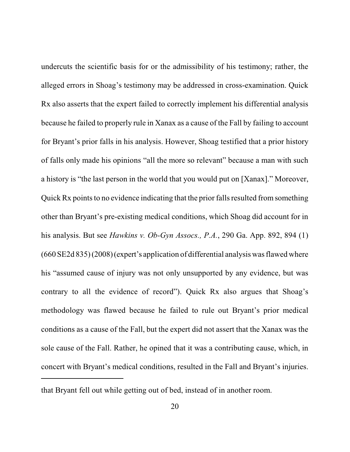undercuts the scientific basis for or the admissibility of his testimony; rather, the alleged errors in Shoag's testimony may be addressed in cross-examination. Quick Rx also asserts that the expert failed to correctly implement his differential analysis because he failed to properly rule in Xanax as a cause of the Fall by failing to account for Bryant's prior falls in his analysis. However, Shoag testified that a prior history of falls only made his opinions "all the more so relevant" because a man with such a history is "the last person in the world that you would put on [Xanax]." Moreover, Quick Rx points to no evidence indicating that the prior falls resulted from something other than Bryant's pre-existing medical conditions, which Shoag did account for in his analysis. But see *Hawkins v. Ob-Gyn Assocs., P.A.*, 290 Ga. App. 892, 894 (1)  $(660 SE2d 835)$   $(2008)$  (expert's application of differential analysis was flawed where his "assumed cause of injury was not only unsupported by any evidence, but was contrary to all the evidence of record"). Quick Rx also argues that Shoag's methodology was flawed because he failed to rule out Bryant's prior medical conditions as a cause of the Fall, but the expert did not assert that the Xanax was the sole cause of the Fall. Rather, he opined that it was a contributing cause, which, in concert with Bryant's medical conditions, resulted in the Fall and Bryant's injuries.

that Bryant fell out while getting out of bed, instead of in another room.